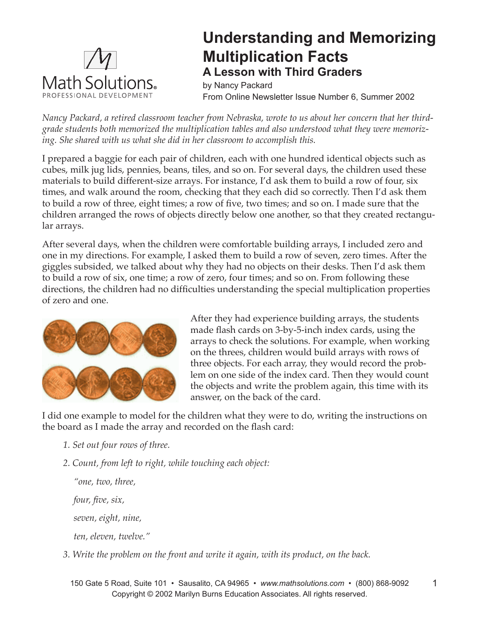

## **Understanding and Memorizing Multiplication Facts A Lesson with Third Graders**

by Nancy Packard From Online Newsletter Issue Number 6, Summer 2002

*Nancy Packard, a retired classroom teacher from Nebraska, wrote to us about her concern that her thirdgrade students both memorized the multiplication tables and also understood what they were memorizing. She shared with us what she did in her classroom to accomplish this.* 

I prepared a baggie for each pair of children, each with one hundred identical objects such as cubes, milk jug lids, pennies, beans, tiles, and so on. For several days, the children used these materials to build different-size arrays. For instance, I'd ask them to build a row of four, six times, and walk around the room, checking that they each did so correctly. Then I'd ask them to build a row of three, eight times; a row of five, two times; and so on. I made sure that the children arranged the rows of objects directly below one another, so that they created rectangular arrays.

After several days, when the children were comfortable building arrays, I included zero and one in my directions. For example, I asked them to build a row of seven, zero times. After the giggles subsided, we talked about why they had no objects on their desks. Then I'd ask them to build a row of six, one time; a row of zero, four times; and so on. From following these directions, the children had no difficulties understanding the special multiplication properties of zero and one.



After they had experience building arrays, the students made flash cards on 3-by-5-inch index cards, using the arrays to check the solutions. For example, when working on the threes, children would build arrays with rows of three objects. For each array, they would record the problem on one side of the index card. Then they would count the objects and write the problem again, this time with its answer, on the back of the card.

I did one example to model for the children what they were to do, writing the instructions on the board as I made the array and recorded on the flash card:

- *1. Set out four rows of three.*
- *2. Count, from left to right, while touching each object:*

*"one, two, three, four, five, six, seven, eight, nine, ten, eleven, twelve."*

*3. Write the problem on the front and write it again, with its product, on the back.*

150 Gate 5 Road, Suite 101 • Sausalito, CA 94965 • *www.mathsolutions.com* • (800) 868-9092 Copyright © 2002 Marilyn Burns Education Associates. All rights reserved.